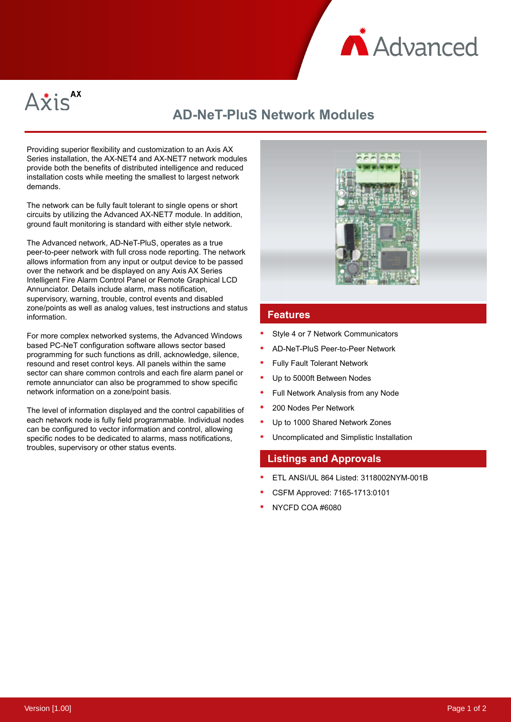



# **AD-NeT-PluS Network Modules**

Providing superior flexibility and customization to an Axis AX Series installation, the AX-NET4 and AX-NET7 network modules provide both the benefits of distributed intelligence and reduced installation costs while meeting the smallest to largest network demands.

The network can be fully fault tolerant to single opens or short circuits by utilizing the Advanced AX-NET7 module. In addition, ground fault monitoring is standard with either style network.

The Advanced network, AD-NeT-PluS, operates as a true peer-to-peer network with full cross node reporting. The network allows information from any input or output device to be passed over the network and be displayed on any Axis AX Series Intelligent Fire Alarm Control Panel or Remote Graphical LCD Annunciator. Details include alarm, mass notification, supervisory, warning, trouble, control events and disabled zone/points as well as analog values, test instructions and status information.

For more complex networked systems, the Advanced Windows based PC-NeT configuration software allows sector based programming for such functions as drill, acknowledge, silence, resound and reset control keys. All panels within the same sector can share common controls and each fire alarm panel or remote annunciator can also be programmed to show specific network information on a zone/point basis.

The level of information displayed and the control capabilities of each network node is fully field programmable. Individual nodes can be configured to vector information and control, allowing specific nodes to be dedicated to alarms, mass notifications, troubles, supervisory or other status events.



#### **Features**

- Style 4 or 7 Network Communicators
- AD-NeT-PluS Peer-to-Peer Network
- Fully Fault Tolerant Network
- Up to 5000ft Between Nodes
- Full Network Analysis from any Node
- 200 Nodes Per Network
- Up to 1000 Shared Network Zones
- Uncomplicated and Simplistic Installation

### **Listings and Approvals**

- ETL ANSI/UL 864 Listed: 3118002NYM-001B
- CSFM Approved: 7165-1713:0101
- NYCFD COA #6080